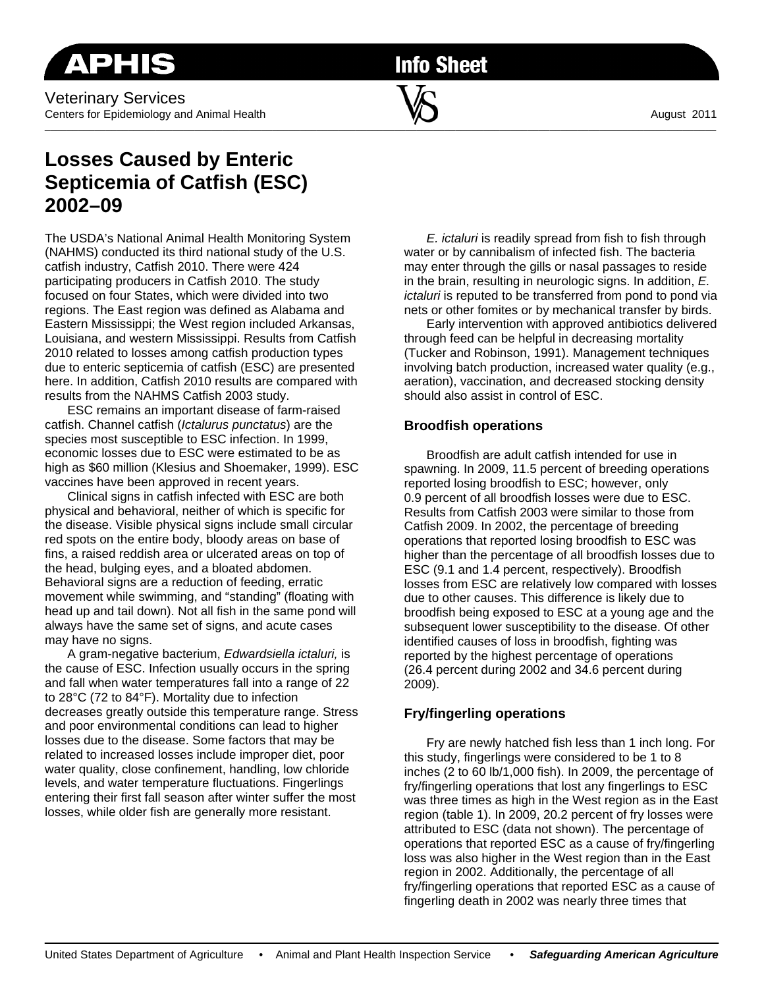**Info Sheet** 

# **Losses Caused by Enteric Septicemia of Catfish (ESC) 2002–09**

The USDA's National Animal Health Monitoring System (NAHMS) conducted its third national study of the U.S. catfish industry, Catfish 2010. There were 424 participating producers in Catfish 2010. The study focused on four States, which were divided into two regions. The East region was defined as Alabama and Eastern Mississippi; the West region included Arkansas, Louisiana, and western Mississippi. Results from Catfish 2010 related to losses among catfish production types due to enteric septicemia of catfish (ESC) are presented here. In addition, Catfish 2010 results are compared with results from the NAHMS Catfish 2003 study.

ESC remains an important disease of farm-raised catfish. Channel catfish (*Ictalurus punctatus*) are the species most susceptible to ESC infection. In 1999, economic losses due to ESC were estimated to be as high as \$60 million (Klesius and Shoemaker, 1999). ESC vaccines have been approved in recent years.

 Clinical signs in catfish infected with ESC are both physical and behavioral, neither of which is specific for the disease. Visible physical signs include small circular red spots on the entire body, bloody areas on base of fins, a raised reddish area or ulcerated areas on top of the head, bulging eyes, and a bloated abdomen. Behavioral signs are a reduction of feeding, erratic movement while swimming, and "standing" (floating with head up and tail down). Not all fish in the same pond will always have the same set of signs, and acute cases may have no signs.

 A gram-negative bacterium, *Edwardsiella ictaluri,* is the cause of ESC. Infection usually occurs in the spring and fall when water temperatures fall into a range of 22 to 28°C (72 to 84°F). Mortality due to infection decreases greatly outside this temperature range. Stress and poor environmental conditions can lead to higher losses due to the disease. Some factors that may be related to increased losses include improper diet, poor water quality, close confinement, handling, low chloride levels, and water temperature fluctuations. Fingerlings entering their first fall season after winter suffer the most losses, while older fish are generally more resistant.

*E. ictaluri* is readily spread from fish to fish through water or by cannibalism of infected fish. The bacteria may enter through the gills or nasal passages to reside in the brain, resulting in neurologic signs. In addition, *E. ictaluri* is reputed to be transferred from pond to pond via nets or other fomites or by mechanical transfer by birds.

Early intervention with approved antibiotics delivered through feed can be helpful in decreasing mortality (Tucker and Robinson, 1991). Management techniques involving batch production, increased water quality (e.g., aeration), vaccination, and decreased stocking density should also assist in control of ESC.

## **Broodfish operations**

Broodfish are adult catfish intended for use in spawning. In 2009, 11.5 percent of breeding operations reported losing broodfish to ESC; however, only 0.9 percent of all broodfish losses were due to ESC. Results from Catfish 2003 were similar to those from Catfish 2009. In 2002, the percentage of breeding operations that reported losing broodfish to ESC was higher than the percentage of all broodfish losses due to ESC (9.1 and 1.4 percent, respectively). Broodfish losses from ESC are relatively low compared with losses due to other causes. This difference is likely due to broodfish being exposed to ESC at a young age and the subsequent lower susceptibility to the disease. Of other identified causes of loss in broodfish, fighting was reported by the highest percentage of operations (26.4 percent during 2002 and 34.6 percent during 2009).

## **Fry/fingerling operations**

Fry are newly hatched fish less than 1 inch long. For this study, fingerlings were considered to be 1 to 8 inches (2 to 60 lb/1,000 fish). In 2009, the percentage of fry/fingerling operations that lost any fingerlings to ESC was three times as high in the West region as in the East region (table 1). In 2009, 20.2 percent of fry losses were attributed to ESC (data not shown). The percentage of operations that reported ESC as a cause of fry/fingerling loss was also higher in the West region than in the East region in 2002. Additionally, the percentage of all fry/fingerling operations that reported ESC as a cause of fingerling death in 2002 was nearly three times that